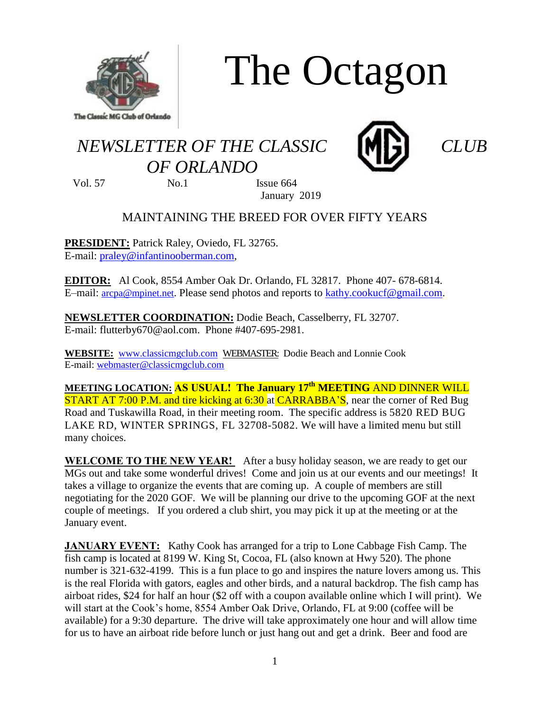

# The Octagon

## *NEWSLETTER OF THE CLASSIC CLUB OF ORLANDO*



Vol. 57 No.1 Issue 664 January 2019

### MAINTAINING THE BREED FOR OVER FIFTY YEARS

**PRESIDENT:** Patrick Raley, Oviedo, FL 32765. E-mail: [praley@infantinooberman.com,](mailto:praley@infantinooberman.com)

**EDITOR:** Al Cook, 8554 Amber Oak Dr. Orlando, FL 32817. Phone 407- 678-6814. E–mail: [arcpa@mpinet.net](mailto:arcpa@mpinet.net). Please send photos and reports to [kathy.cookucf@gmail.com.](mailto:kathy.cookucf@gmail.com)

**NEWSLETTER COORDINATION:** Dodie Beach, Casselberry, FL 32707. E-mail: flutterby670@aol.com. Phone #407-695-2981.

**WEBSITE:** [www.classicmgclub.com](http://www.classicmgclub.com/) WEBMASTER: Dodie Beach and Lonnie Cook E-mail[: webmaster@classicmgclub.com](mailto:webmaster@classicmgclub.com)

**MEETING LOCATION: AS USUAL! The January 17 th MEETING** AND DINNER WILL **START AT 7:00 P.M. and tire kicking at 6:30 at CARRABBA'S**, near the corner of Red Bug Road and Tuskawilla Road, in their meeting room. The specific address is 5820 RED BUG LAKE RD, WINTER SPRINGS, FL 32708-5082. We will have a limited menu but still many choices.

**WELCOME TO THE NEW YEAR!** After a busy holiday season, we are ready to get our MGs out and take some wonderful drives! Come and join us at our events and our meetings! It takes a village to organize the events that are coming up. A couple of members are still negotiating for the 2020 GOF. We will be planning our drive to the upcoming GOF at the next couple of meetings. If you ordered a club shirt, you may pick it up at the meeting or at the January event.

**JANUARY EVENT:** Kathy Cook has arranged for a trip to Lone Cabbage Fish Camp. The fish camp is located at 8199 W. King St, Cocoa, FL (also known at Hwy 520). The phone number is 321-632-4199. This is a fun place to go and inspires the nature lovers among us. This is the real Florida with gators, eagles and other birds, and a natural backdrop. The fish camp has airboat rides, \$24 for half an hour (\$2 off with a coupon available online which I will print). We will start at the Cook's home, 8554 Amber Oak Drive, Orlando, FL at 9:00 (coffee will be available) for a 9:30 departure. The drive will take approximately one hour and will allow time for us to have an airboat ride before lunch or just hang out and get a drink. Beer and food are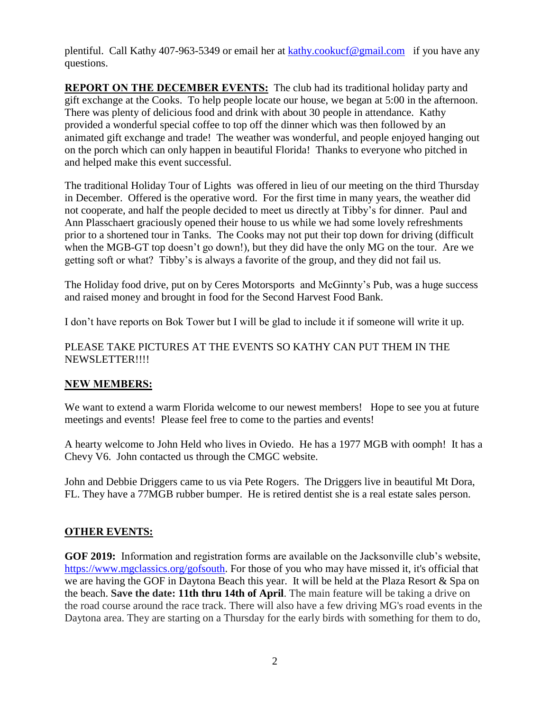plentiful. Call Kathy 407-963-5349 or email her at [kathy.cookucf@gmail.com](mailto:kathy.cookucf@gmail.com) if you have any questions.

**REPORT ON THE DECEMBER EVENTS:** The club had its traditional holiday party and gift exchange at the Cooks. To help people locate our house, we began at 5:00 in the afternoon. There was plenty of delicious food and drink with about 30 people in attendance. Kathy provided a wonderful special coffee to top off the dinner which was then followed by an animated gift exchange and trade! The weather was wonderful, and people enjoyed hanging out on the porch which can only happen in beautiful Florida! Thanks to everyone who pitched in and helped make this event successful.

The traditional Holiday Tour of Lights was offered in lieu of our meeting on the third Thursday in December. Offered is the operative word. For the first time in many years, the weather did not cooperate, and half the people decided to meet us directly at Tibby's for dinner. Paul and Ann Plasschaert graciously opened their house to us while we had some lovely refreshments prior to a shortened tour in Tanks. The Cooks may not put their top down for driving (difficult when the MGB-GT top doesn't go down!), but they did have the only MG on the tour. Are we getting soft or what? Tibby's is always a favorite of the group, and they did not fail us.

The Holiday food drive, put on by Ceres Motorsports and McGinnty's Pub, was a huge success and raised money and brought in food for the Second Harvest Food Bank.

I don't have reports on Bok Tower but I will be glad to include it if someone will write it up.

#### PLEASE TAKE PICTURES AT THE EVENTS SO KATHY CAN PUT THEM IN THE NEWSLETTER!!!!

#### **NEW MEMBERS:**

We want to extend a warm Florida welcome to our newest members! Hope to see you at future meetings and events! Please feel free to come to the parties and events!

A hearty welcome to John Held who lives in Oviedo. He has a 1977 MGB with oomph! It has a Chevy V6. John contacted us through the CMGC website.

John and Debbie Driggers came to us via Pete Rogers. The Driggers live in beautiful Mt Dora, FL. They have a 77MGB rubber bumper. He is retired dentist she is a real estate sales person.

#### **OTHER EVENTS:**

**GOF 2019:** Information and registration forms are available on the Jacksonville club's website, [https://www.mgclassics.org/gofsouth.](https://www.mgclassics.org/gofsouth) For those of you who may have missed it, it's official that we are having the GOF in Daytona Beach this year. It will be held at the Plaza Resort & Spa on the beach. **Save the date: 11th thru 14th of April**. The main feature will be taking a drive on the road course around the race track. There will also have a few driving MG's road events in the Daytona area. They are starting on a Thursday for the early birds with something for them to do,